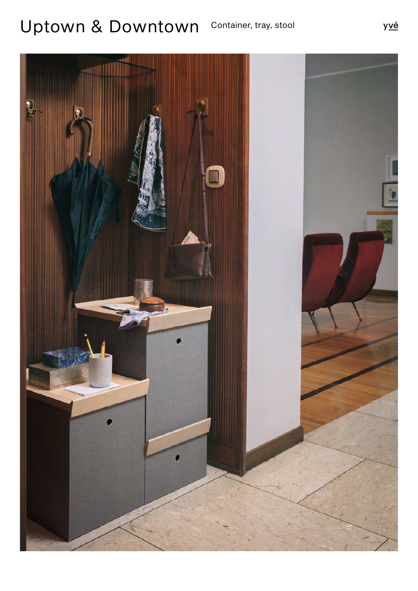## Uptown & Downtown Container, tray, stool

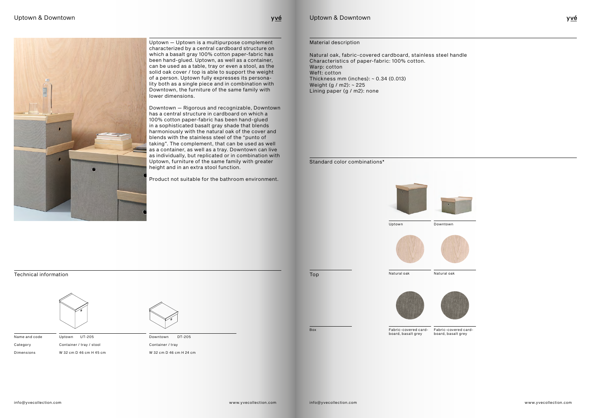

Downtown DT-205 Container / tray

Uptown UT-205 Container / tray / stool W 32 cm D 46 cm H 45 cm Name and code Category Dimensions



W 32 cm D 46 cm H 24 cm



Technical information



Uptown — Uptown is a multipurpose complement characterized by a central cardboard structure on which a basalt gray 100% cotton paper-fabric has been hand-glued. Uptown, as well as a container, can be used as a table, tray or even a stool, as the solid oak cover / top is able to support the weight of a person. Uptown fully expresses its personality both as a single piece and in combination with Downtown, the furniture of the same family with lower dimensions.

Downtown — Rigorous and recognizable, Downtown has a central structure in cardboard on which a 100% cotton paper-fabric has been hand-glued in a sophisticated basalt gray shade that blends harmoniously with the natural oak of the cover and blends with the stainless steel of the "punto of taking". The complement, that can be used as well as a container, as well as a tray. Downtown can live as individually, but replicated or in combination with Uptown, furniture of the same family with greater height and in an extra stool function.

Product not suitable for the bathroom environment.

Natural oak, fabric-covered cardboard, stainless steel handle Characteristics of paper-fabric: 100% cotton. Warp: cotton Weft: cotton Thickness mm (inches): ~ 0.34 (0.013) Weight (g / m2): ~ 225 Lining paper (g / m2): none

Uptown & Downtown

yvé

Material description







Top Natural oak

Standard color combinations\*

Natural oak





Fabric-covered cardboard, basalt grey

Fabric-covered cardboard, basalt grey

Box